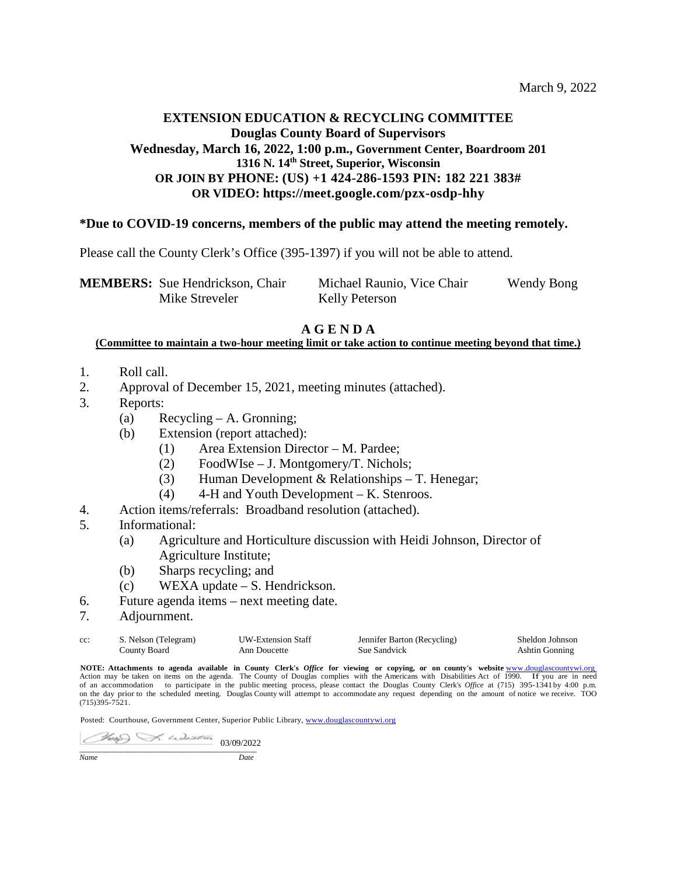## **EXTENSION EDUCATION & RECYCLING COMMITTEE Douglas County Board of Supervisors Wednesday, March 16, 2022, 1:00 p.m., Government Center, Boardroom 201 1316 N. 14th Street, Superior, Wisconsin OR JOIN BY PHONE: (US) +1 424-286-1593 PIN: 182 221 383# OR VIDEO: https://meet.google.com/pzx-osdp-hhy**

## **\*Due to COVID-19 concerns, members of the public may attend the meeting remotely.**

Please call the County Clerk's Office (395-1397) if you will not be able to attend.

| <b>MEMBERS:</b> Sue Hendrickson, Chair | Michael Raunio, Vice Chair | <b>Wendy Bong</b> |
|----------------------------------------|----------------------------|-------------------|
| Mike Streveler                         | <b>Kelly Peterson</b>      |                   |

## **A G E N D A**

#### **(Committee to maintain a two-hour meeting limit or take action to continue meeting beyond that time.)**

- 1. Roll call.
- 2. Approval of December 15, 2021, meeting minutes (attached).
- 3. Reports:
	- (a) Recycling A. Gronning;
	- (b) Extension (report attached):
		- (1) Area Extension Director M. Pardee;
		- (2) FoodWIse J. Montgomery/T. Nichols;
		- (3) Human Development & Relationships T. Henegar;
		- (4) 4-H and Youth Development K. Stenroos.
- 4. Action items/referrals: Broadband resolution (attached).
- 5. Informational:
	- (a) Agriculture and Horticulture discussion with Heidi Johnson, Director of Agriculture Institute;
	- (b) Sharps recycling; and
	- (c) WEXA update S. Hendrickson.
- 6. Future agenda items next meeting date.
- 7. Adjournment.

| $cc$ : | S. Nelson (Telegram) | <b>UW-Extension Staff</b> | Jennifer Barton (Recycling) | Sheldon Johnson |
|--------|----------------------|---------------------------|-----------------------------|-----------------|
|        | County Board         | Ann Doucette              | Sue Sandvick                | Ashtin Gonning  |

NOTE: Attachments to agenda available in County Clerk's *Office* for viewing or copying, or on county's website www.douglascountywi.org<br>Action may be taken on items on the agenda. The County of Douglas complies with the Am of an accommodation to participate in the public meeting process, please contact the Douglas County Clerk's *Office* at (715) 395-1341by 4:00 p.m. on the day prior to the scheduled meeting. Douglas County will attempt to accommodate any request depending on the amount of notice we receive. TOO (715)395-7521.

Posted: Courthouse, Government Center, Superior Public Library[, www.douglascountywi.org](http://www.douglascountywi.org/)

 $03/09/2022$ 

*Name Date*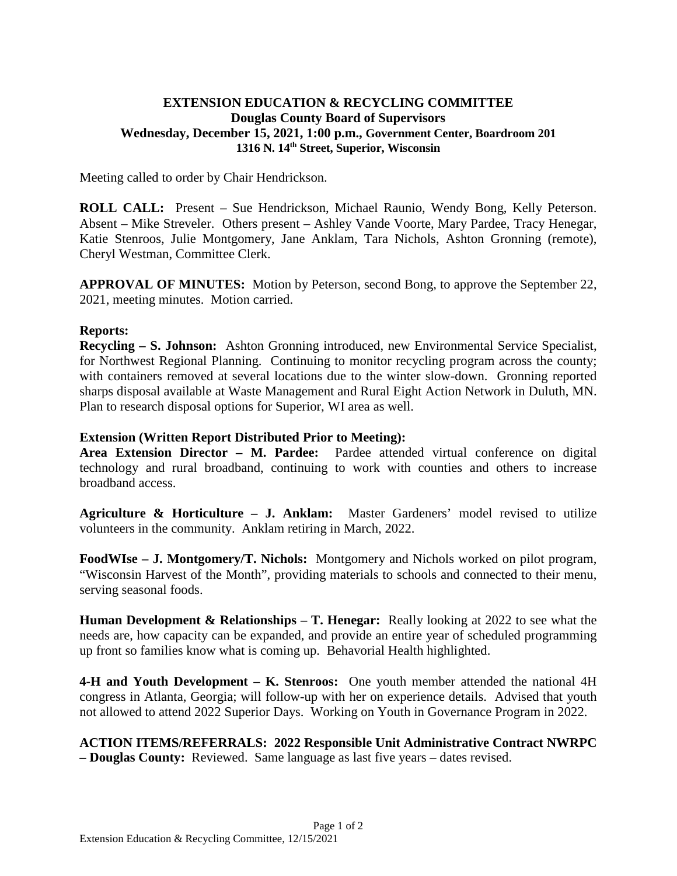## **EXTENSION EDUCATION & RECYCLING COMMITTEE Douglas County Board of Supervisors Wednesday, December 15, 2021, 1:00 p.m., Government Center, Boardroom 201 1316 N. 14th Street, Superior, Wisconsin**

Meeting called to order by Chair Hendrickson.

**ROLL CALL:** Present – Sue Hendrickson, Michael Raunio, Wendy Bong, Kelly Peterson. Absent – Mike Streveler. Others present – Ashley Vande Voorte, Mary Pardee, Tracy Henegar, Katie Stenroos, Julie Montgomery, Jane Anklam, Tara Nichols, Ashton Gronning (remote), Cheryl Westman, Committee Clerk.

**APPROVAL OF MINUTES:** Motion by Peterson, second Bong, to approve the September 22, 2021, meeting minutes. Motion carried.

## **Reports:**

**Recycling – S. Johnson:** Ashton Gronning introduced, new Environmental Service Specialist, for Northwest Regional Planning. Continuing to monitor recycling program across the county; with containers removed at several locations due to the winter slow-down. Gronning reported sharps disposal available at Waste Management and Rural Eight Action Network in Duluth, MN. Plan to research disposal options for Superior, WI area as well.

## **Extension (Written Report Distributed Prior to Meeting):**

**Area Extension Director – M. Pardee:** Pardee attended virtual conference on digital technology and rural broadband, continuing to work with counties and others to increase broadband access.

**Agriculture & Horticulture – J. Anklam:** Master Gardeners' model revised to utilize volunteers in the community. Anklam retiring in March, 2022.

**FoodWIse – J. Montgomery/T. Nichols:** Montgomery and Nichols worked on pilot program, "Wisconsin Harvest of the Month", providing materials to schools and connected to their menu, serving seasonal foods.

**Human Development & Relationships – T. Henegar:** Really looking at 2022 to see what the needs are, how capacity can be expanded, and provide an entire year of scheduled programming up front so families know what is coming up. Behavorial Health highlighted.

**4-H and Youth Development – K. Stenroos:** One youth member attended the national 4H congress in Atlanta, Georgia; will follow-up with her on experience details. Advised that youth not allowed to attend 2022 Superior Days. Working on Youth in Governance Program in 2022.

**ACTION ITEMS/REFERRALS: 2022 Responsible Unit Administrative Contract NWRPC – Douglas County:** Reviewed. Same language as last five years – dates revised.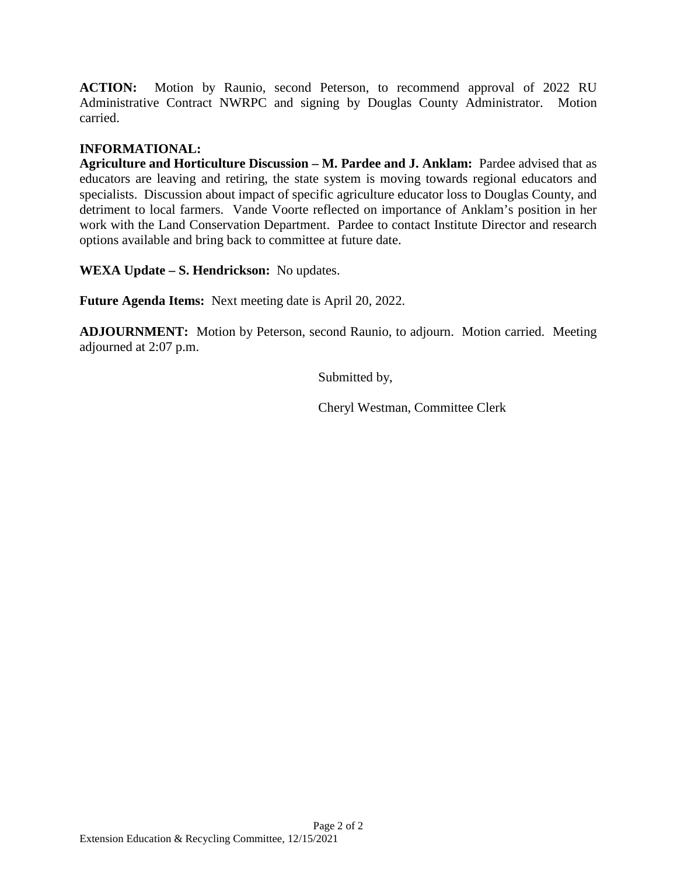**ACTION:** Motion by Raunio, second Peterson, to recommend approval of 2022 RU Administrative Contract NWRPC and signing by Douglas County Administrator. Motion carried.

## **INFORMATIONAL:**

**Agriculture and Horticulture Discussion – M. Pardee and J. Anklam:** Pardee advised that as educators are leaving and retiring, the state system is moving towards regional educators and specialists. Discussion about impact of specific agriculture educator loss to Douglas County, and detriment to local farmers. Vande Voorte reflected on importance of Anklam's position in her work with the Land Conservation Department. Pardee to contact Institute Director and research options available and bring back to committee at future date.

**WEXA Update – S. Hendrickson:** No updates.

**Future Agenda Items:** Next meeting date is April 20, 2022.

**ADJOURNMENT:** Motion by Peterson, second Raunio, to adjourn. Motion carried. Meeting adjourned at 2:07 p.m.

Submitted by,

Cheryl Westman, Committee Clerk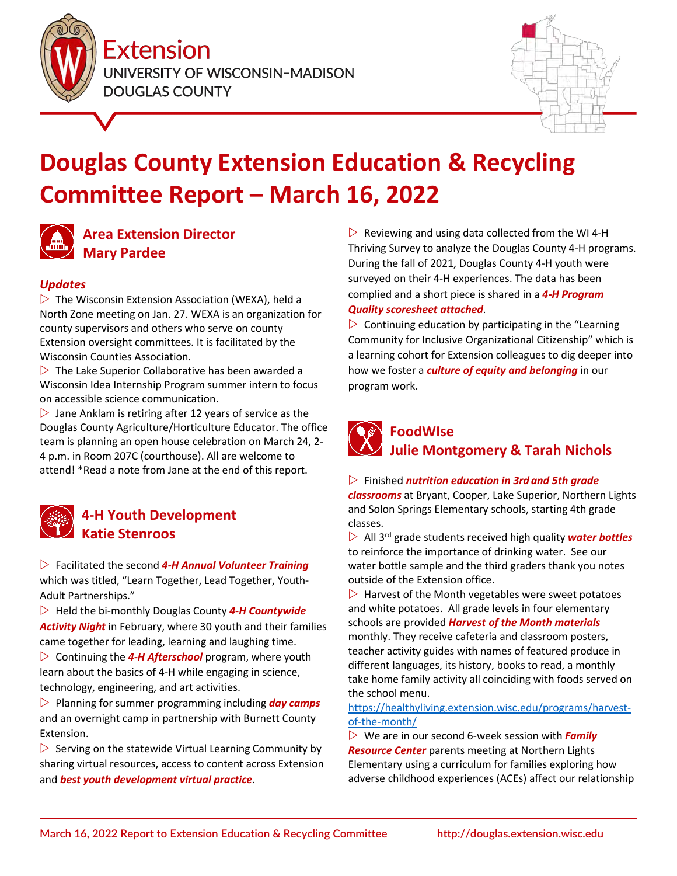



# **Douglas County Extension Education & Recycling Committee Report – March 16, 2022**



## **Area Extension Director Mary Pardee**

## *Updates*

 $\triangleright$  The Wisconsin Extension Association (WEXA), held a North Zone meeting on Jan. 27. WEXA is an organization for county supervisors and others who serve on county Extension oversight committees. It is facilitated by the Wisconsin Counties Association.

 $\triangleright$  The Lake Superior Collaborative has been awarded a Wisconsin Idea Internship Program summer intern to focus on accessible science communication.

 $\triangleright$  Jane Anklam is retiring after 12 years of service as the Douglas County Agriculture/Horticulture Educator. The office team is planning an open house celebration on March 24, 2- 4 p.m. in Room 207C (courthouse). All are welcome to attend! \*Read a note from Jane at the end of this report.



## **4-H Youth Development Katie Stenroos**

 Facilitated the second *4-H Annual Volunteer Training* which was titled, "Learn Together, Lead Together, Youth-Adult Partnerships."

 Held the bi-monthly Douglas County *4-H Countywide Activity Night* in February, where 30 youth and their families came together for leading, learning and laughing time.  $\triangleright$  Continuing the **4-H Afterschool** program, where youth learn about the basics of 4-H while engaging in science, technology, engineering, and art activities.

 $\triangleright$  Planning for summer programming including *day camps* and an overnight camp in partnership with Burnett County Extension.

 $\triangleright$  Serving on the statewide Virtual Learning Community by sharing virtual resources, access to content across Extension and *best youth development virtual practice*.

 $\triangleright$  Reviewing and using data collected from the WI 4-H Thriving Survey to analyze the Douglas County 4-H programs. During the fall of 2021, Douglas County 4-H youth were surveyed on their 4-H experiences. The data has been complied and a short piece is shared in a *4-H Program Quality scoresheet attached*.

 $\triangleright$  Continuing education by participating in the "Learning" Community for Inclusive Organizational Citizenship" which is a learning cohort for Extension colleagues to dig deeper into how we foster a *culture of equity and belonging* in our program work.

## **FoodWIse Julie Montgomery & Tarah Nichols**

### Finished *nutrition education in 3rd and 5th grade*

*classrooms* at Bryant, Cooper, Lake Superior, Northern Lights and Solon Springs Elementary schools, starting 4th grade classes.

 All 3rd grade students received high quality *water bottles* to reinforce the importance of drinking water. See our water bottle sample and the third graders thank you notes outside of the Extension office.

 $\triangleright$  Harvest of the Month vegetables were sweet potatoes and white potatoes. All grade levels in four elementary schools are provided *Harvest of the Month materials* monthly. They receive cafeteria and classroom posters, teacher activity guides with names of featured produce in different languages, its history, books to read, a monthly take home family activity all coinciding with foods served on the school menu.

[https://healthyliving.extension.wisc.edu/programs/harvest](https://healthyliving.extension.wisc.edu/programs/harvest-of-the-month/)[of-the-month/](https://healthyliving.extension.wisc.edu/programs/harvest-of-the-month/)

 We are in our second 6-week session with *Family Resource Center* parents meeting at Northern Lights Elementary using a curriculum for families exploring how adverse childhood experiences (ACEs) affect our relationship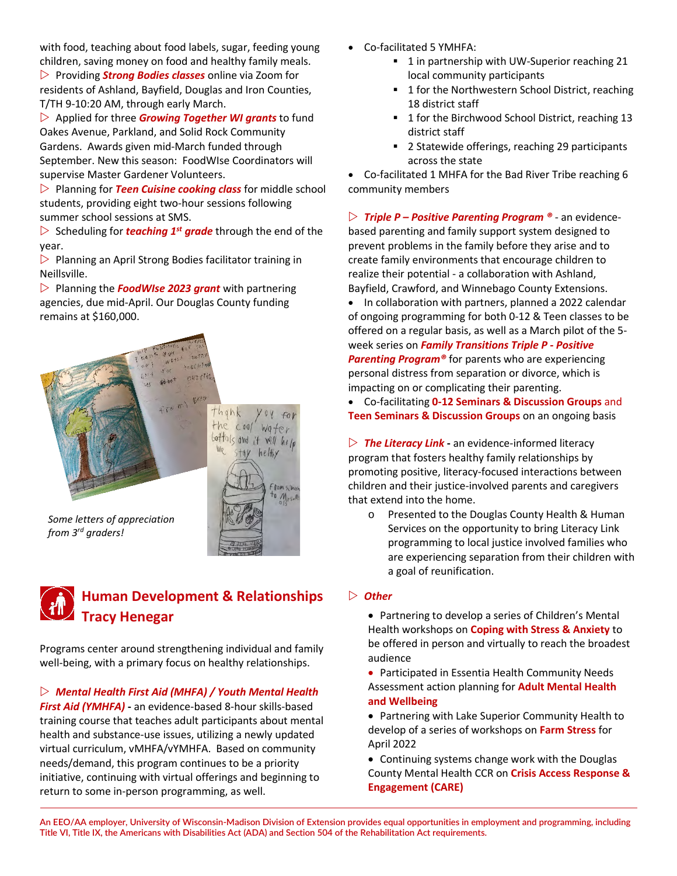with food, teaching about food labels, sugar, feeding young children, saving money on food and healthy family meals.

 Providing *Strong Bodies classes* online via Zoom for residents of Ashland, Bayfield, Douglas and Iron Counties, T/TH 9-10:20 AM, through early March.

 Applied for three *Growing Together WI grants* to fund Oakes Avenue, Parkland, and Solid Rock Community Gardens. Awards given mid-March funded through September. New this season: FoodWIse Coordinators will supervise Master Gardener Volunteers.

 Planning for *Teen Cuisine cooking class* for middle school students, providing eight two-hour sessions following summer school sessions at SMS.

 $\triangleright$  Scheduling for *teaching* 1<sup>st</sup> grade through the end of the year.

 $\triangleright$  Planning an April Strong Bodies facilitator training in Neillsville.

 Planning the *FoodWIse 2023 grant* with partnering agencies, due mid-April. Our Douglas County funding remains at \$160,000.



*Some letters of appreciation from 3rd graders!*



helfly

Vam silna **O** Mrsal

Programs center around strengthening individual and family well-being, with a primary focus on healthy relationships.

## *[Mental Health First Aid \(MHFA\)](https://douglas.extension.wisc.edu/2021/08/27/sept-29th-nov-15th-adult-mental-health-first-aid-virtual-classes/) / [Youth Mental Health](https://douglas.extension.wisc.edu/2021/09/22/virtual-youth-mental-health-first-aid-classes-fall-2021/)*

*[First Aid \(YMHFA\)](https://douglas.extension.wisc.edu/2021/09/22/virtual-youth-mental-health-first-aid-classes-fall-2021/)* **-** an evidence-based 8-hour skills-based training course that teaches adult participants about mental health and substance-use issues, utilizing a newly updated virtual curriculum, vMHFA/vYMHFA. Based on community needs/demand, this program continues to be a priority initiative, continuing with virtual offerings and beginning to return to some in-person programming, as well.

- Co-facilitated 5 YMHFA:
	- **1** in partnership with UW-Superior reaching 21 local community participants
	- 1 for the Northwestern School District, reaching 18 district staff
	- <sup>1</sup> 1 for the Birchwood School District, reaching 13 district staff
	- 2 Statewide offerings, reaching 29 participants across the state

• Co-facilitated 1 MHFA for the Bad River Tribe reaching 6 community members

 *[Triple P – Positive Parenting Program ®](https://www.triplep.net/glo-en/find-out-about-triple-p/triple-p-in-a-nutshell/)* - an evidencebased parenting and family support system designed to prevent problems in the family before they arise and to create family environments that encourage children to realize their potential - a collaboration with Ashland, Bayfield, Crawford, and Winnebago County Extensions.

• In collaboration with partners, planned a 2022 calendar of ongoing programming for both 0-12 & Teen classes to be offered on a regular basis, as well as a March pilot of the 5 week series on *Family Transitions Triple P - Positive Parenting Program®* for parents who are experiencing

personal distress from separation or divorce, which is impacting on or complicating their parenting.

• Co-facilitating **0-12 Seminars & Discussion Groups** and **Teen Seminars & Discussion Groups** on an ongoing basis

 *[The Literacy Link](https://theliteracylink.extension.wisc.edu/)* **-** an evidence-informed literacy program that fosters healthy family relationships by promoting positive, literacy-focused interactions between children and their justice-involved parents and caregivers that extend into the home.

o Presented to the Douglas County Health & Human Services on the opportunity to bring Literacy Link programming to local justice involved families who are experiencing separation from their children with a goal of reunification.

### *Other*

• Partnering to develop a series of Children's Mental Health workshops on **Coping with Stress & Anxiety** to be offered in person and virtually to reach the broadest audience

• Participated in Essentia Health Community Needs Assessment action planning for **Adult Mental Health and Wellbeing**

• Partnering with Lake Superior Community Health to develop of a series of workshops on **Farm Stress** for April 2022

• Continuing systems change work with the Douglas County Mental Health CCR on **Crisis Access Response & Engagement (CARE)**

**An EEO/AA employer, University of Wisconsin-Madison Division of Extension provides equal opportunities in employment and programming, including Title VI, Title IX, the Americans with Disabilities Act (ADA) and Section 504 of the Rehabilitation Act requirements.**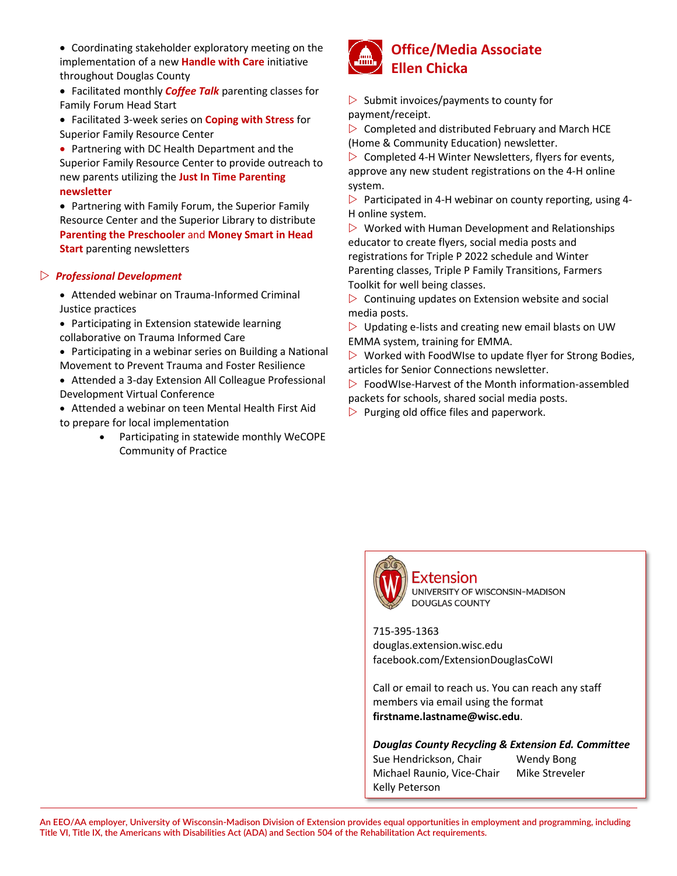- Coordinating stakeholder exploratory meeting on the implementation of a new **Handle with Care** initiative throughout Douglas County
- Facilitated monthly *Coffee Talk* parenting classes for Family Forum Head Start
- Facilitated 3-week series on **Coping with Stress** for Superior Family Resource Center
- Partnering with DC Health Department and the Superior Family Resource Center to provide outreach to new parents utilizing the **Just In Time Parenting newsletter**
- Partnering with Family Forum, the Superior Family Resource Center and the Superior Library to distribute **Parenting the Preschooler** and **Money Smart in Head Start** parenting newsletters

### *Professional Development*

• Attended webinar on Trauma-Informed Criminal Justice practices

- Participating in Extension statewide learning collaborative on Trauma Informed Care
- Participating in a webinar series on Building a National Movement to Prevent Trauma and Foster Resilience
- Attended a 3-day Extension All Colleague Professional Development Virtual Conference

• Attended a webinar on teen Mental Health First Aid to prepare for local implementation

> • Participating in statewide monthly WeCOPE Community of Practice



 $\triangleright$  Submit invoices/payments to county for payment/receipt.

 $\triangleright$  Completed and distributed February and March HCE (Home & Community Education) newsletter.

 $\triangleright$  Completed 4-H Winter Newsletters, flyers for events, approve any new student registrations on the 4-H online system.

 $\triangleright$  Participated in 4-H webinar on county reporting, using 4-H online system.

 $\triangleright$  Worked with Human Development and Relationships educator to create flyers, social media posts and registrations for Triple P 2022 schedule and Winter Parenting classes, Triple P Family Transitions, Farmers Toolkit for well being classes.

 $\triangleright$  Continuing updates on Extension website and social media posts.

 $\triangleright$  Updating e-lists and creating new email blasts on UW EMMA system, training for EMMA.

 $\triangleright$  Worked with FoodWIse to update flyer for Strong Bodies, articles for Senior Connections newsletter.

 $\triangleright$  FoodWIse-Harvest of the Month information-assembled packets for schools, shared social media posts.

 $\triangleright$  Purging old office files and paperwork.



**Extension** UNIVERSITY OF WISCONSIN-MADISON **DOUGLAS COUNTY** 

715-395-1363 douglas.extension.wisc.edu facebook.com/ExtensionDouglasCoWI

Call or email to reach us. You can reach any staff members via email using the format **firstname.lastname@wisc.edu**.

*Douglas County Recycling & Extension Ed. Committee*

Sue Hendrickson, Chair Wendy Bong Michael Raunio, Vice-Chair Mike Streveler Kelly Peterson

**An EEO/AA employer, University of Wisconsin-Madison Division of Extension provides equal opportunities in employment and programming, including Title VI, Title IX, the Americans with Disabilities Act (ADA) and Section 504 of the Rehabilitation Act requirements.**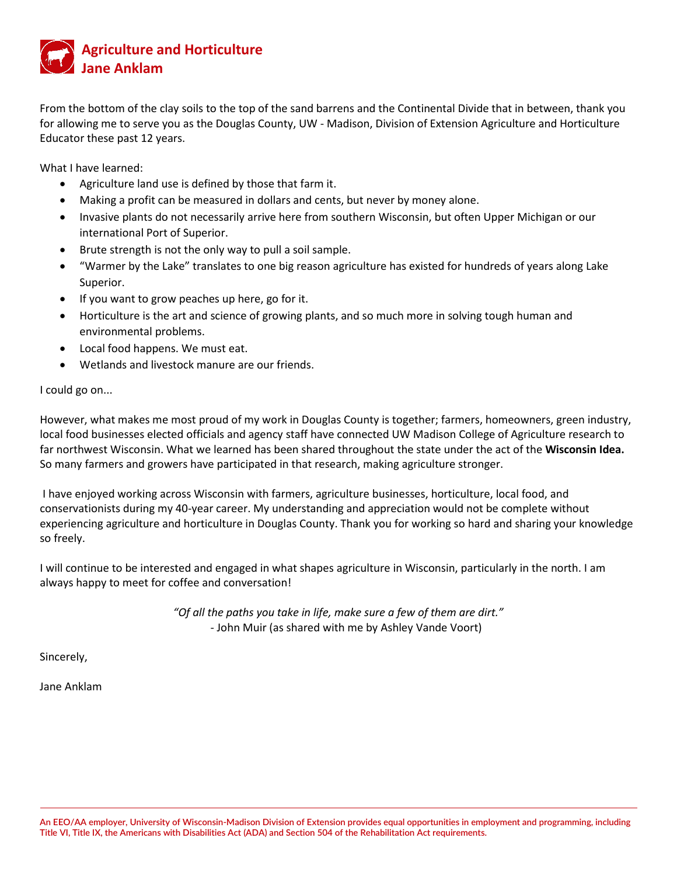

From the bottom of the clay soils to the top of the sand barrens and the Continental Divide that in between, thank you for allowing me to serve you as the Douglas County, UW - Madison, Division of Extension Agriculture and Horticulture Educator these past 12 years.

What I have learned:

- Agriculture land use is defined by those that farm it.
- Making a profit can be measured in dollars and cents, but never by money alone.
- Invasive plants do not necessarily arrive here from southern Wisconsin, but often Upper Michigan or our international Port of Superior.
- Brute strength is not the only way to pull a soil sample.
- "Warmer by the Lake" translates to one big reason agriculture has existed for hundreds of years along Lake Superior.
- If you want to grow peaches up here, go for it.
- Horticulture is the art and science of growing plants, and so much more in solving tough human and environmental problems.
- Local food happens. We must eat.
- Wetlands and livestock manure are our friends.

I could go on...

However, what makes me most proud of my work in Douglas County is together; farmers, homeowners, green industry, local food businesses elected officials and agency staff have connected UW Madison College of Agriculture research to far northwest Wisconsin. What we learned has been shared throughout the state under the act of the **Wisconsin Idea.**  So many farmers and growers have participated in that research, making agriculture stronger.

I have enjoyed working across Wisconsin with farmers, agriculture businesses, horticulture, local food, and conservationists during my 40-year career. My understanding and appreciation would not be complete without experiencing agriculture and horticulture in Douglas County. Thank you for working so hard and sharing your knowledge so freely.

I will continue to be interested and engaged in what shapes agriculture in Wisconsin, particularly in the north. I am always happy to meet for coffee and conversation!

> *"Of all the paths you take in life, make sure a few of them are dirt."* - John Muir (as shared with me by Ashley Vande Voort)

Sincerely,

Jane Anklam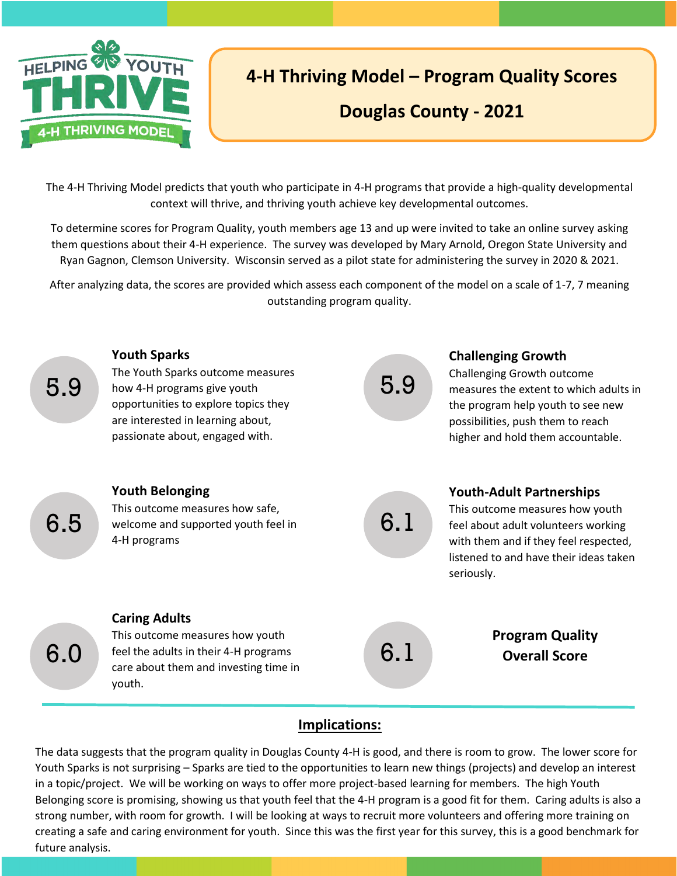

# **4-H Thriving Model – Program Quality Scores**

# **Douglas County - 2021**

The 4-H Thriving Model predicts that youth who participate in 4-H programs that provide a high-quality developmental context will thrive, and thriving youth achieve key developmental outcomes.

To determine scores for Program Quality, youth members age 13 and up were invited to take an online survey asking them questions about their 4-H experience. The survey was developed by Mary Arnold, Oregon State University and Ryan Gagnon, Clemson University. Wisconsin served as a pilot state for administering the survey in 2020 & 2021.

After analyzing data, the scores are provided which assess each component of the model on a scale of 1-7, 7 meaning outstanding program quality.



## **Implications:**

The data suggests that the program quality in Douglas County 4-H is good, and there is room to grow. The lower score for Youth Sparks is not surprising – Sparks are tied to the opportunities to learn new things (projects) and develop an interest in a topic/project. We will be working on ways to offer more project-based learning for members. The high Youth Belonging score is promising, showing us that youth feel that the 4-H program is a good fit for them. Caring adults is also a strong number, with room for growth. I will be looking at ways to recruit more volunteers and offering more training on creating a safe and caring environment for youth. Since this was the first year for this survey, this is a good benchmark for future analysis.